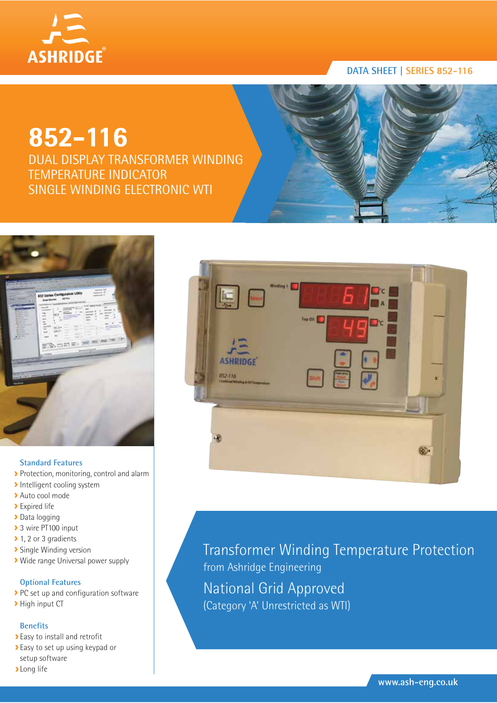

# **852-116**

DUAL DISPLAY TRANSFORMER WINDING TEMPERATURE INDICATOR SINGLE WINDING ELECTRONIC WTI



## **Standard Features**

- Protection, monitoring, control and alarm
- **Intelligent cooling system**
- Auto cool mode
- **>** Expired life
- Data logging
- > 3 wire PT100 input
- ▶ 1, 2 or 3 gradients
- **>** Single Winding version
- Wide range Universal power supply

# **Optional Features**

- PC set up and configuration software
- **>** High input CT

## **Benefits**

- Easy to install and retrofit
- Easy to set up using keypad or setup software
- **>Long** life



Transformer Winding Temperature Protection from Ashridge Engineering National Grid Approved (Category 'A' Unrestricted as WTI)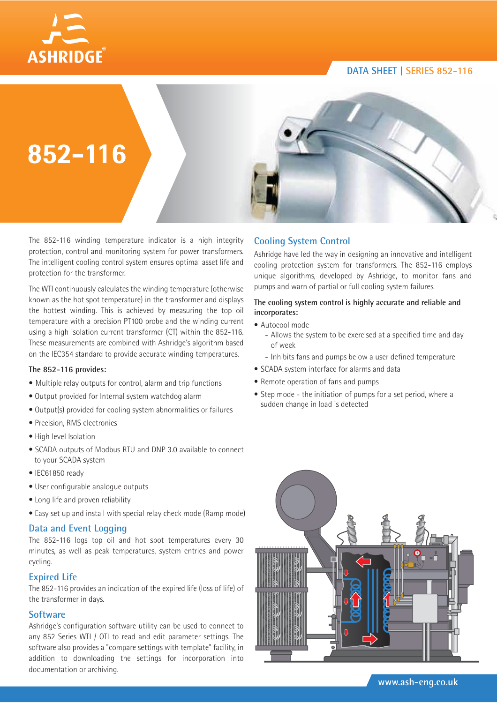



The 852-116 winding temperature indicator is a high integrity protection, control and monitoring system for power transformers. The intelligent cooling control system ensures optimal asset life and protection for the transformer.

The WTI continuously calculates the winding temperature (otherwise known as the hot spot temperature) in the transformer and displays the hottest winding. This is achieved by measuring the top oil temperature with a precision PT100 probe and the winding current using a high isolation current transformer (CT) within the 852-116. These measurements are combined with Ashridge's algorithm based on the IEC354 standard to provide accurate winding temperatures.

### **The 852-116 provides:**

- Multiple relay outputs for control, alarm and trip functions
- Output provided for Internal system watchdog alarm
- Output(s) provided for cooling system abnormalities or failures
- Precision, RMS electronics
- High level Isolation
- SCADA outputs of Modbus RTU and DNP 3.0 available to connect to your SCADA system
- IEC61850 ready
- User configurable analogue outputs
- Long life and proven reliability
- Easy set up and install with special relay check mode (Ramp mode)

### **Data and Event Logging**

The 852-116 logs top oil and hot spot temperatures every 30 minutes, as well as peak temperatures, system entries and power cycling.

## **Expired Life**

The 852-116 provides an indication of the expired life (loss of life) of the transformer in days.

## **Software**

Ashridge's configuration software utility can be used to connect to any 852 Series WTI / OTI to read and edit parameter settings. The software also provides a "compare settings with template" facility, in addition to downloading the settings for incorporation into documentation or archiving.

# **Cooling System Control**

Ashridge have led the way in designing an innovative and intelligent cooling protection system for transformers. The 852-116 employs unique algorithms, developed by Ashridge, to monitor fans and pumps and warn of partial or full cooling system failures.

### **The cooling system control is highly accurate and reliable and incorporates:**

- Autocool mode
	- Allows the system to be exercised at a specified time and day of week
	- Inhibits fans and pumps below a user defined temperature
- SCADA system interface for alarms and data
- Remote operation of fans and pumps
- Step mode the initiation of pumps for a set period, where a sudden change in load is detected

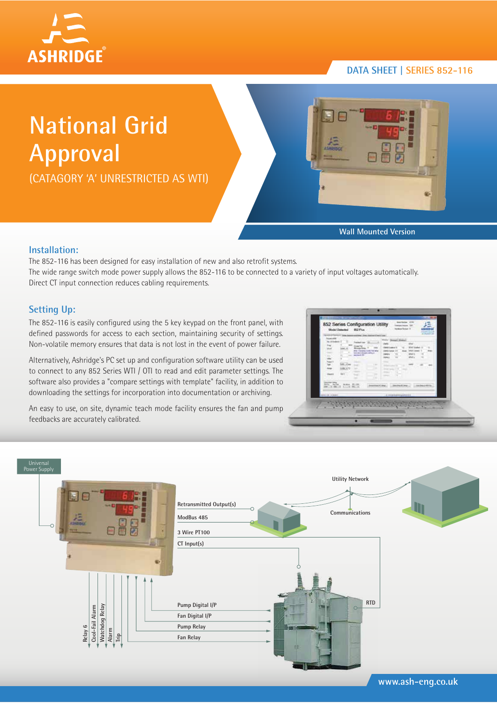

# **National Grid Approval**

(CATAGORY 'A' UNRESTRICTED AS WTI)



**Wall Mounted Version**

# **Installation:**

The 852-116 has been designed for easy installation of new and also retrofit systems. The wide range switch mode power supply allows the 852-116 to be connected to a variety of input voltages automatically. Direct CT input connection reduces cabling requirements.

# **Setting Up:**

The 852-116 is easily configured using the 5 key keypad on the front panel, with defined passwords for access to each section, maintaining security of settings. Non-volatile memory ensures that data is not lost in the event of power failure.

Alternatively, Ashridge's PC set up and configuration software utility can be used to connect to any 852 Series WTI / OTI to read and edit parameter settings. The software also provides a "compare settings with template" facility, in addition to downloading the settings for incorporation into documentation or archiving.

An easy to use, on site, dynamic teach mode facility ensures the fan and pump feedbacks are accurately calibrated.

| $\frac{1}{2}$<br>m<br><b>Lith</b><br><b>Haraki</b> | <b>Existent Page</b><br><b>Monda Pale</b><br>ana (tanah luas luas)<br>Luas de la provincia<br>Maria de la<br><b>STATISTICS</b><br>$1 - 204$<br>-<br><b>DISCUSSION</b><br>$-114$<br><b>STATISTICS</b><br>×. | <b>UPAC</b><br>With Street<br>-                                                            | $\sim$ |
|----------------------------------------------------|------------------------------------------------------------------------------------------------------------------------------------------------------------------------------------------------------------|--------------------------------------------------------------------------------------------|--------|
| --<br><b>ANTIQUES AND AIR</b><br>almost kinesi     | <b>CONTRACTOR</b><br><b>Branchised III</b> Mind.                                                                                                                                                           | The complete the contract and a<br>Constanting Constanting<br>1 4 miles barring lists b to |        |



**www.ash-eng.co.uk**